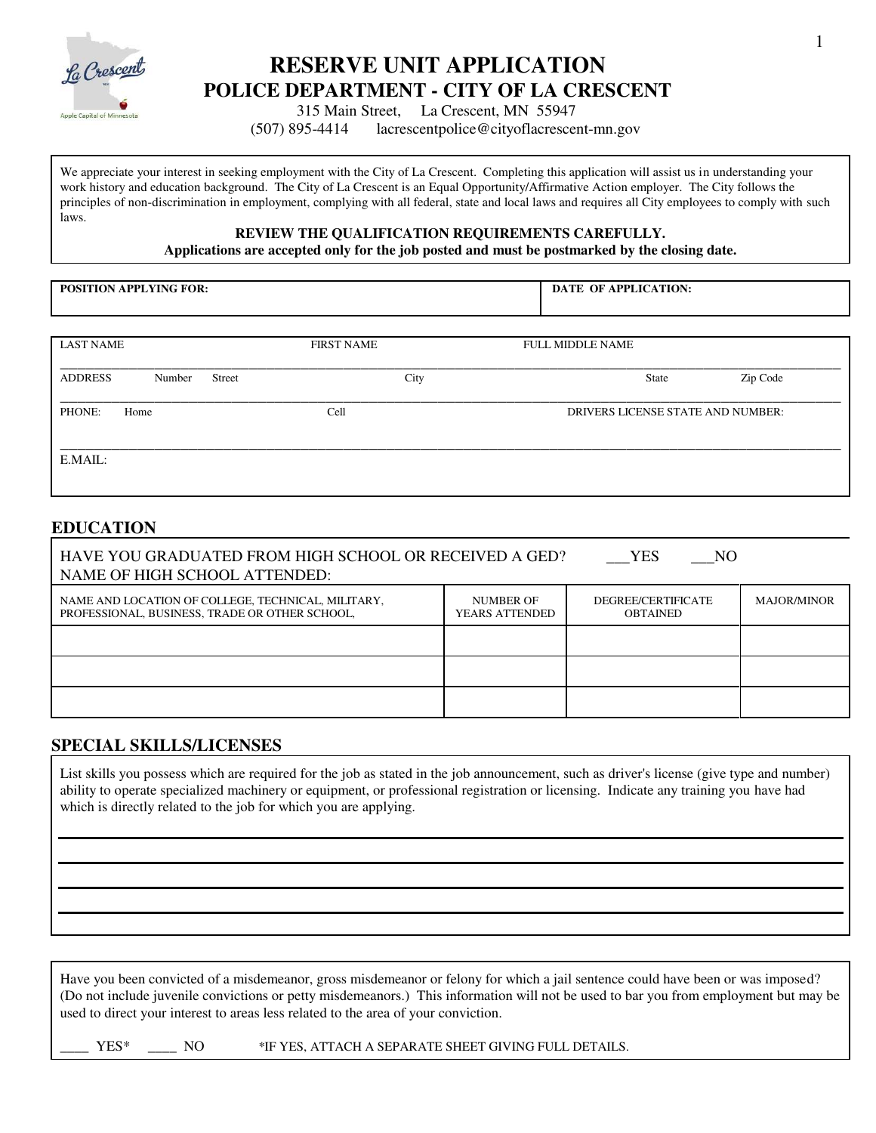

# **RESERVE UNIT APPLICATION POLICE DEPARTMENT - CITY OF LA CRESCENT**

 $\frac{1}{\text{Apple Capital of Minness} \cdot \text{B}}$  315 Main Street, La Crescent, MN 55947

(507) 895-4414 lacrescentpolice@cityoflacrescent-mn.gov

We appreciate your interest in seeking employment with the City of La Crescent. Completing this application will assist us in understanding your work history and education background. The City of La Crescent is an Equal Opportunity/Affirmative Action employer. The City follows the principles of non-discrimination in employment, complying with all federal, state and local laws and requires all City employees to comply with such laws.

#### **REVIEW THE QUALIFICATION REQUIREMENTS CAREFULLY.**

**Applications are accepted only for the job posted and must be postmarked by the closing date.** 

**POSITION APPLYING FOR:** 

 **DATE OF APPLICATION:**

| <b>LAST NAME</b> |        | <b>FIRST NAME</b> |      | <b>FULL MIDDLE NAME</b> |                                   |
|------------------|--------|-------------------|------|-------------------------|-----------------------------------|
| <b>ADDRESS</b>   | Number | Street            | City | State                   | Zip Code                          |
| PHONE:           | Home   | Cell              |      |                         | DRIVERS LICENSE STATE AND NUMBER: |
| E.MAIL:          |        |                   |      |                         |                                   |

### **EDUCATION**

| HAVE YOU GRADUATED FROM HIGH SCHOOL OR RECEIVED A GED?<br><b>YES</b><br>NO<br>NAME OF HIGH SCHOOL ATTENDED: |                                       |                    |  |  |  |  |
|-------------------------------------------------------------------------------------------------------------|---------------------------------------|--------------------|--|--|--|--|
| NAME AND LOCATION OF COLLEGE, TECHNICAL, MILITARY,<br>PROFESSIONAL, BUSINESS, TRADE OR OTHER SCHOOL,        | DEGREE/CERTIFICATE<br><b>OBTAINED</b> | <b>MAJOR/MINOR</b> |  |  |  |  |
|                                                                                                             |                                       |                    |  |  |  |  |
|                                                                                                             |                                       |                    |  |  |  |  |
|                                                                                                             |                                       |                    |  |  |  |  |

#### **SPECIAL SKILLS/LICENSES**

List skills you possess which are required for the job as stated in the job announcement, such as driver's license (give type and number) ability to operate specialized machinery or equipment, or professional registration or licensing. Indicate any training you have had which is directly related to the job for which you are applying.

Have you been convicted of a misdemeanor, gross misdemeanor or felony for which a jail sentence could have been or was imposed? (Do not include juvenile convictions or petty misdemeanors.) This information will not be used to bar you from employment but may be used to direct your interest to areas less related to the area of your conviction.

YES\* \_\_\_\_ NO \*IF YES, ATTACH A SEPARATE SHEET GIVING FULL DETAILS.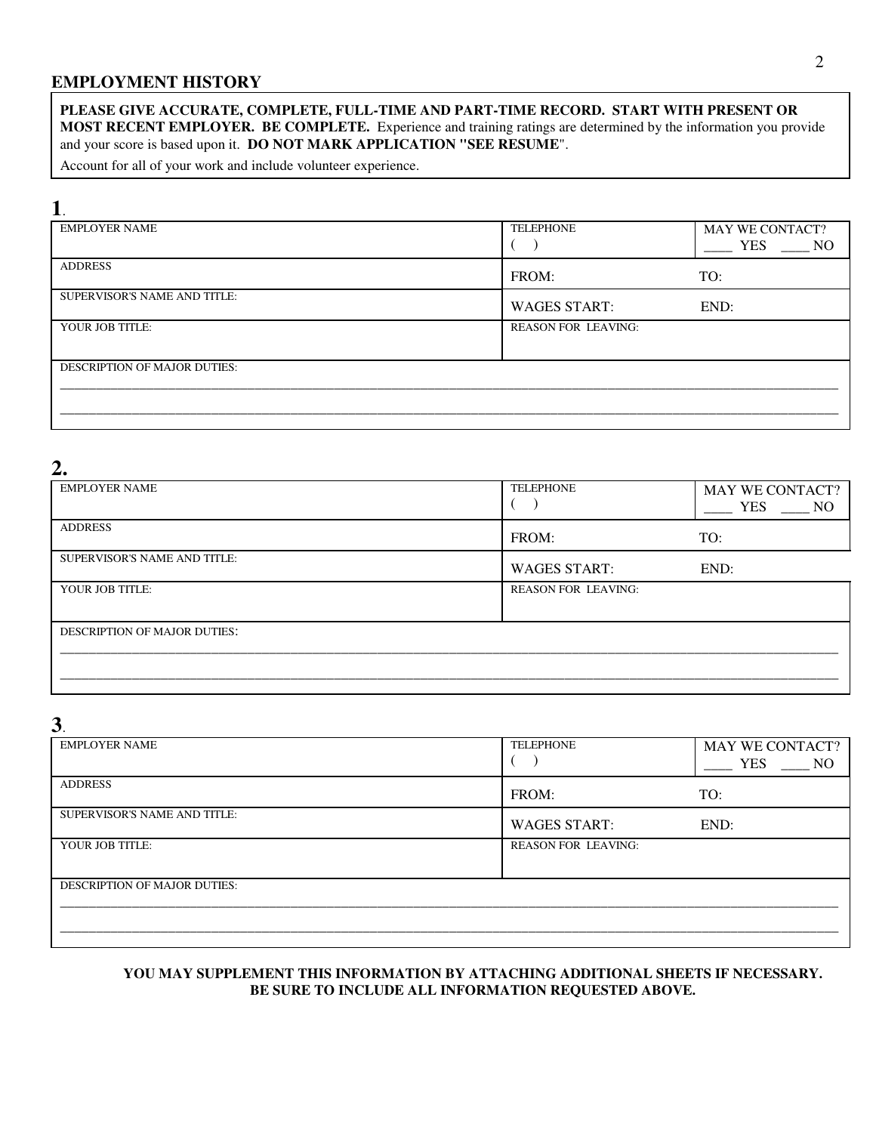### **EMPLOYMENT HISTORY**

#### **PLEASE GIVE ACCURATE, COMPLETE, FULL-TIME AND PART-TIME RECORD. START WITH PRESENT OR MOST RECENT EMPLOYER. BE COMPLETE.** Experience and training ratings are determined by the information you provide and your score is based upon it. **DO NOT MARK APPLICATION "SEE RESUME**".

Account for all of your work and include volunteer experience.

## **1**.

| - -                                 |                            |                                           |  |  |
|-------------------------------------|----------------------------|-------------------------------------------|--|--|
| <b>EMPLOYER NAME</b>                | <b>TELEPHONE</b>           | <b>MAY WE CONTACT?</b>                    |  |  |
|                                     |                            |                                           |  |  |
|                                     |                            | <b>YES</b><br>$\overline{\phantom{0}}$ NO |  |  |
| <b>ADDRESS</b>                      |                            |                                           |  |  |
|                                     | FROM:                      | TO:                                       |  |  |
| SUPERVISOR'S NAME AND TITLE:        |                            |                                           |  |  |
|                                     | <b>WAGES START:</b>        | END:                                      |  |  |
| YOUR JOB TITLE:                     | <b>REASON FOR LEAVING:</b> |                                           |  |  |
|                                     |                            |                                           |  |  |
|                                     |                            |                                           |  |  |
| <b>DESCRIPTION OF MAJOR DUTIES:</b> |                            |                                           |  |  |
|                                     |                            |                                           |  |  |
|                                     |                            |                                           |  |  |
|                                     |                            |                                           |  |  |
|                                     |                            |                                           |  |  |

## **2.**

| <b>EMPLOYER NAME</b>                | <b>TELEPHONE</b>           | <b>MAY WE CONTACT?</b><br><b>YES</b><br>$\sim$ NO |
|-------------------------------------|----------------------------|---------------------------------------------------|
| <b>ADDRESS</b>                      | FROM:                      | TO:                                               |
| SUPERVISOR'S NAME AND TITLE:        | <b>WAGES START:</b>        | END:                                              |
| YOUR JOB TITLE:                     | <b>REASON FOR LEAVING:</b> |                                                   |
| <b>DESCRIPTION OF MAJOR DUTIES:</b> |                            |                                                   |
|                                     |                            |                                                   |

## **3**.

| <b>EMPLOYER NAME</b>                | <b>TELEPHONE</b>           | <b>MAY WE CONTACT?</b> |
|-------------------------------------|----------------------------|------------------------|
| <b>ADDRESS</b>                      | FROM:                      | TO:                    |
| SUPERVISOR'S NAME AND TITLE:        | <b>WAGES START:</b>        | END:                   |
| YOUR JOB TITLE:                     | <b>REASON FOR LEAVING:</b> |                        |
| <b>DESCRIPTION OF MAJOR DUTIES:</b> |                            |                        |
|                                     |                            |                        |

#### **YOU MAY SUPPLEMENT THIS INFORMATION BY ATTACHING ADDITIONAL SHEETS IF NECESSARY. BE SURE TO INCLUDE ALL INFORMATION REQUESTED ABOVE.**